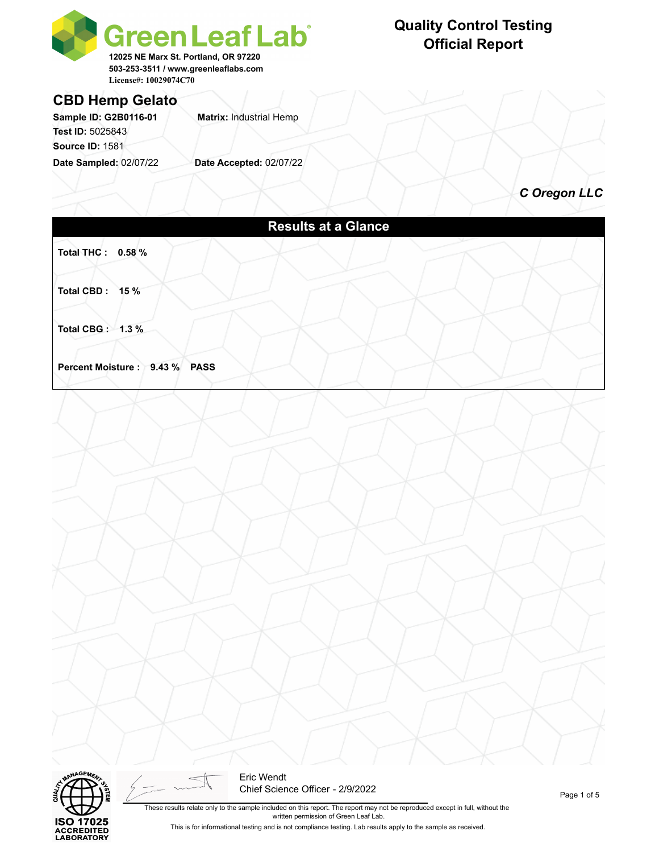

## **Quality Control Testing Official Report**

### **CBD Hemp Gelato**

Sample ID: G2B0116-01 **Matrix: Industrial Hemp Test ID:** 5025843 **Source ID:** 1581

**Date Sampled:** 02/07/22 **Date Accepted:** 02/07/22

*C Oregon LLC*

|                               | <b>Results at a Glance</b> |  |
|-------------------------------|----------------------------|--|
| Total THC: 0.58 %             |                            |  |
| Total CBD: 15%                |                            |  |
| Total CBG: 1.3 %              |                            |  |
| Percent Moisture: 9.43 % PASS |                            |  |
|                               |                            |  |
|                               |                            |  |
|                               |                            |  |
|                               |                            |  |
|                               |                            |  |
|                               |                            |  |
|                               |                            |  |
|                               |                            |  |
|                               |                            |  |



Eric Wendt Chief Science Officer - 2/9/2022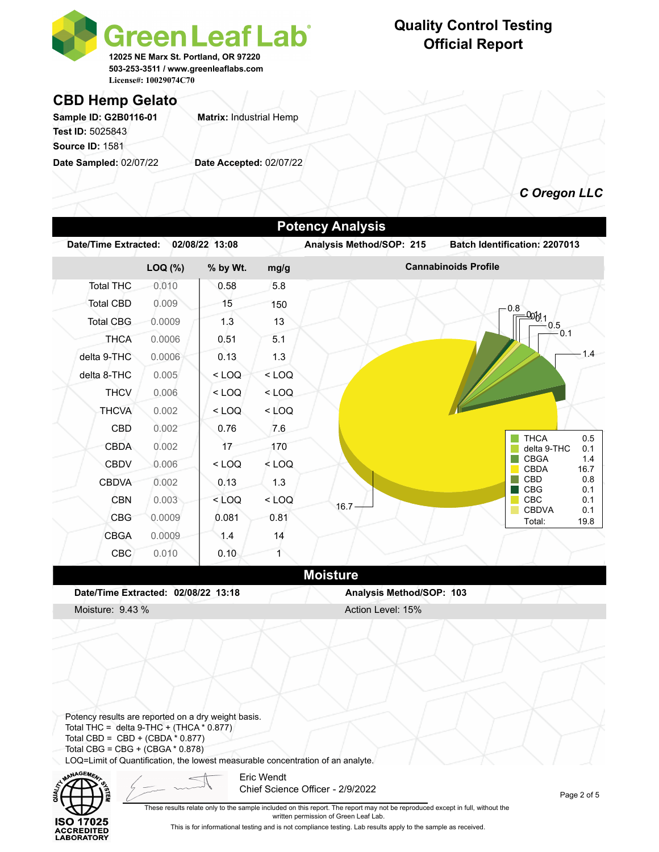

## **Quality Control Testing Official Report**

### **CBD Hemp Gelato**

Sample ID: G2B0116-01 **Matrix: Industrial Hemp Test ID:** 5025843 **Source ID:** 1581

**Date Sampled:** 02/07/22 **Date Accepted:** 02/07/22

*C Oregon LLC*

|                             |         |                |         | <b>Potency Analysis</b>  |                                          |
|-----------------------------|---------|----------------|---------|--------------------------|------------------------------------------|
| <b>Date/Time Extracted:</b> |         | 02/08/22 13:08 |         | Analysis Method/SOP: 215 | Batch Identification: 2207013            |
|                             | LOQ (%) | % by Wt.       | mg/g    |                          | <b>Cannabinoids Profile</b>              |
| <b>Total THC</b>            | 0.010   | 0.58           | 5.8     |                          |                                          |
| <b>Total CBD</b>            | 0.009   | 15             | 150     |                          | 0.8                                      |
| <b>Total CBG</b>            | 0.0009  | 1.3            | 13      |                          | $\frac{-000!1}{-0.5}$                    |
| <b>THCA</b>                 | 0.0006  | 0.51           | 5.1     |                          | 0.1                                      |
| delta 9-THC                 | 0.0006  | 0.13           | 1.3     |                          | 1.4                                      |
| delta 8-THC                 | 0.005   | $<$ LOQ        | $<$ LOQ |                          |                                          |
| <b>THCV</b>                 | 0.006   | $<$ LOQ        | $<$ LOQ |                          |                                          |
| <b>THCVA</b>                | 0.002   | $<$ LOQ        | $<$ LOQ |                          |                                          |
| CBD                         | 0.002   | 0.76           | 7.6     |                          |                                          |
| <b>CBDA</b>                 | 0.002   | 17             | 170     |                          | <b>THCA</b><br>0.5<br>delta 9-THC<br>0.1 |
| <b>CBDV</b>                 | 0.006   | $<$ LOQ        | $<$ LOQ |                          | <b>CBGA</b><br>1.4<br>CBDA<br>16.7       |
| <b>CBDVA</b>                | 0.002   | 0.13           | 1.3     |                          | <b>CBD</b><br>0.8                        |
| <b>CBN</b>                  | 0.003   | $<$ LOQ        | $<$ LOQ | $16.7 -$                 | <b>CBG</b><br>0.1<br><b>CBC</b><br>0.1   |
| <b>CBG</b>                  | 0.0009  | 0.081          | 0.81    |                          | <b>CBDVA</b><br>0.1<br>Total:<br>19.8    |
| <b>CBGA</b>                 | 0.0009  | 1.4            | 14      |                          |                                          |
| <b>CBC</b>                  | 0.010   | 0.10           | 1       |                          |                                          |
|                             |         |                |         | <b>Moisture</b>          |                                          |

**Date/Time Extracted: 02/08/22 13:18 Analysis Method/SOP: 103**

Moisture: 9.43 % Action Level: 15%

Potency results are reported on a dry weight basis. Total THC = delta  $9$ -THC + (THCA  $*$  0.877) Total CBD =  $CBD + (CBDA * 0.877)$ Total CBG = CBG + (CBGA \* 0.878) LOQ=Limit of Quantification, the lowest measurable concentration of an analyte.



Eric Wendt Chief Science Officer - 2/9/2022

Page 2 of 5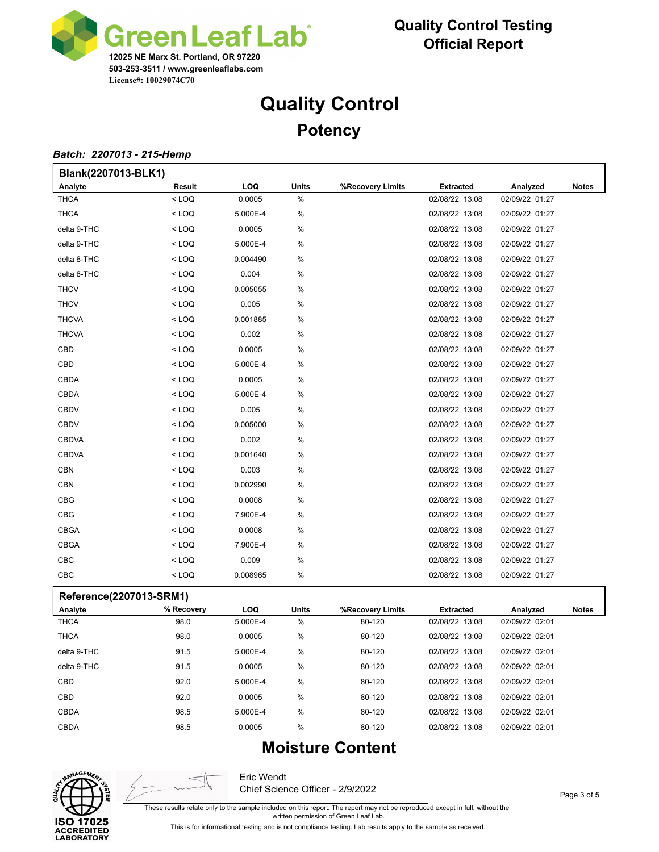

# **Quality Control Potency**

#### *Batch: 2207013 - 215-Hemp*

| <b>Extracted</b><br>Analyzed<br><b>Notes</b> |
|----------------------------------------------|
|                                              |
| 02/08/22 13:08<br>02/09/22 01:27             |
| 02/08/22 13:08<br>02/09/22 01:27             |
| 02/08/22 13:08<br>02/09/22 01:27             |
| 02/08/22 13:08<br>02/09/22 01:27             |
| 02/08/22 13:08<br>02/09/22 01:27             |
| 02/08/22 13:08<br>02/09/22 01:27             |
| 02/08/22 13:08<br>02/09/22 01:27             |
| 02/08/22 13:08<br>02/09/22 01:27             |
| 02/08/22 13:08<br>02/09/22 01:27             |
| 02/08/22 13:08<br>02/09/22 01:27             |
| 02/08/22 13:08<br>02/09/22 01:27             |
| 02/08/22 13:08<br>02/09/22 01:27             |
| 02/08/22 13:08<br>02/09/22 01:27             |
| 02/08/22 13:08<br>02/09/22 01:27             |
| 02/08/22 13:08<br>02/09/22 01:27             |
| 02/08/22 13:08<br>02/09/22 01:27             |
| 02/08/22 13:08<br>02/09/22 01:27             |
| 02/08/22 13:08<br>02/09/22 01:27             |
| 02/08/22 13:08<br>02/09/22 01:27             |
| 02/08/22 13:08<br>02/09/22 01:27             |
| 02/08/22 13:08<br>02/09/22 01:27             |
| 02/08/22 13:08<br>02/09/22 01:27             |
| 02/08/22 13:08<br>02/09/22 01:27             |
| 02/08/22 13:08<br>02/09/22 01:27             |
| 02/08/22 13:08<br>02/09/22 01:27             |
| 02/08/22 13:08<br>02/09/22 01:27             |
|                                              |

#### **Reference(2207013-SRM1)**

| $\cdot$<br>Analyte | % Recovery | LOQ      | <b>Units</b> | %Recovery Limits | <b>Extracted</b> | Analyzed       | <b>Notes</b> |
|--------------------|------------|----------|--------------|------------------|------------------|----------------|--------------|
| <b>THCA</b>        | 98.0       | 5.000E-4 | $\%$         | 80-120           | 02/08/22 13:08   | 02/09/22 02:01 |              |
| <b>THCA</b>        | 98.0       | 0.0005   | $\%$         | 80-120           | 02/08/22 13:08   | 02/09/22 02:01 |              |
| delta 9-THC        | 91.5       | 5.000E-4 | $\%$         | 80-120           | 02/08/22 13:08   | 02/09/22 02:01 |              |
| delta 9-THC        | 91.5       | 0.0005   | $\%$         | 80-120           | 02/08/22 13:08   | 02/09/22 02:01 |              |
| <b>CBD</b>         | 92.0       | 5.000E-4 | $\%$         | 80-120           | 02/08/22 13:08   | 02/09/22 02:01 |              |
| <b>CBD</b>         | 92.0       | 0.0005   | $\%$         | 80-120           | 02/08/22 13:08   | 02/09/22 02:01 |              |
| <b>CBDA</b>        | 98.5       | 5.000E-4 | $\%$         | 80-120           | 02/08/22 13:08   | 02/09/22 02:01 |              |
| <b>CBDA</b>        | 98.5       | 0.0005   | $\%$         | 80-120           | 02/08/22 13:08   | 02/09/22 02:01 |              |

## **Moisture Content**



Eric Wendt Chief Science Officer - 2/9/2022

These results relate only to the sample included on this report. The report may not be reproduced except in full, without the

written permission of Green Leaf Lab.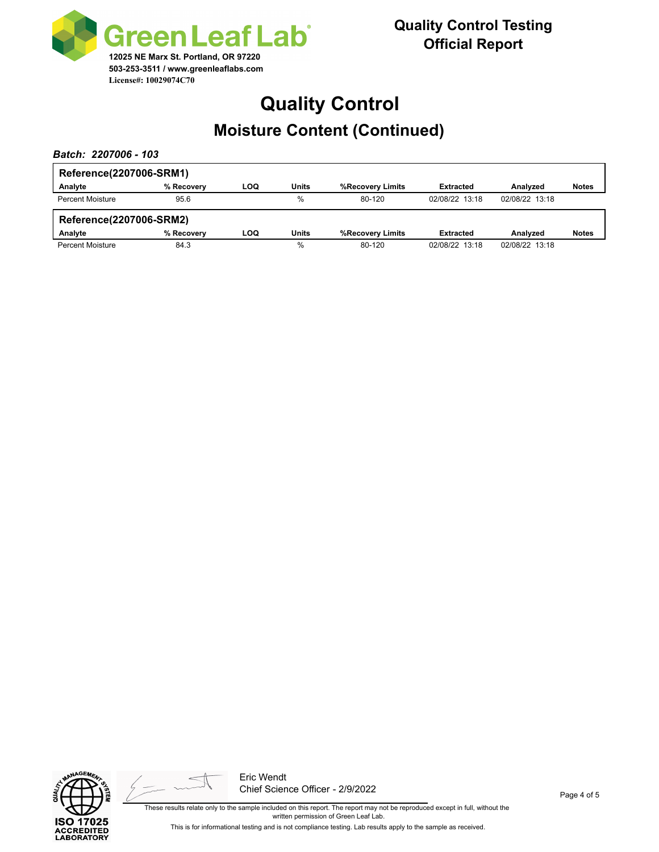

# **Quality Control Moisture Content (Continued)**

*Batch: 2207006 - 103*

| Reference(2207006-SRM1) |            |     |       |                  |                  |                |              |
|-------------------------|------------|-----|-------|------------------|------------------|----------------|--------------|
| Analyte                 | % Recovery | LOQ | Units | %Recovery Limits | <b>Extracted</b> | Analyzed       | <b>Notes</b> |
| <b>Percent Moisture</b> | 95.6       |     | %     | 80-120           | 02/08/22 13:18   | 02/08/22 13:18 |              |
|                         |            |     |       |                  |                  |                |              |
| Reference(2207006-SRM2) |            |     |       |                  |                  |                |              |
| Analyte                 | % Recovery | LOQ | Units | %Recovery Limits | <b>Extracted</b> | Analyzed       | <b>Notes</b> |





Eric Wendt Chief Science Officer - 2/9/2022

Page 4 of 5